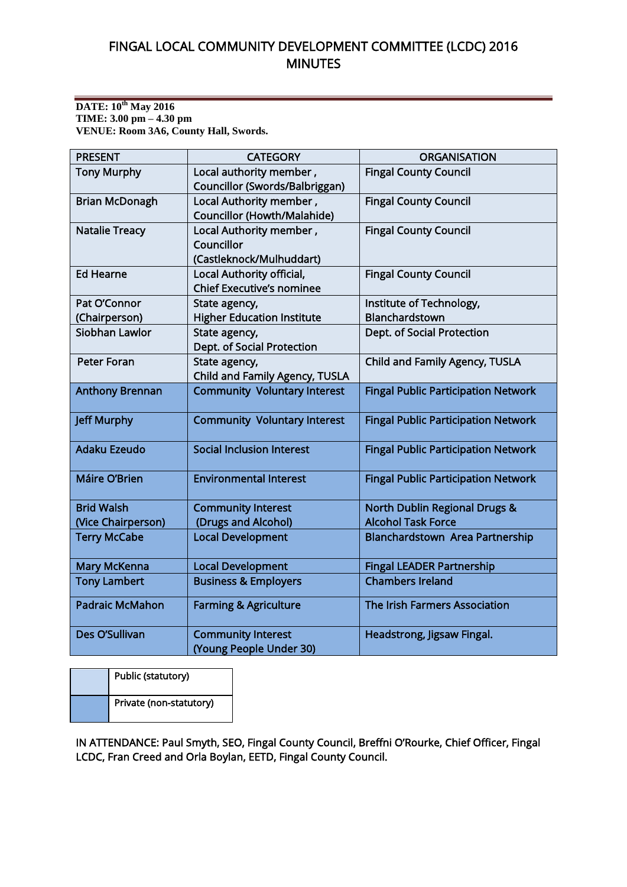**DATE: 10th May 2016 TIME: 3.00 pm – 4.30 pm VENUE: Room 3A6, County Hall, Swords.**

| <b>PRESENT</b>         | <b>CATEGORY</b>                                           | <b>ORGANISATION</b>                        |
|------------------------|-----------------------------------------------------------|--------------------------------------------|
| <b>Tony Murphy</b>     | Local authority member,<br>Councillor (Swords/Balbriggan) | <b>Fingal County Council</b>               |
| <b>Brian McDonagh</b>  | Local Authority member,                                   | <b>Fingal County Council</b>               |
|                        | <b>Councillor (Howth/Malahide)</b>                        |                                            |
| <b>Natalie Treacy</b>  | Local Authority member,                                   | <b>Fingal County Council</b>               |
|                        | Councillor                                                |                                            |
|                        | (Castleknock/Mulhuddart)                                  |                                            |
| <b>Ed Hearne</b>       | Local Authority official,                                 | <b>Fingal County Council</b>               |
|                        | <b>Chief Executive's nominee</b>                          |                                            |
| Pat O'Connor           | State agency,                                             | Institute of Technology,                   |
| (Chairperson)          | <b>Higher Education Institute</b>                         | Blanchardstown                             |
| Siobhan Lawlor         | State agency,                                             | Dept. of Social Protection                 |
|                        | Dept. of Social Protection                                |                                            |
| <b>Peter Foran</b>     | State agency,                                             | <b>Child and Family Agency, TUSLA</b>      |
|                        | Child and Family Agency, TUSLA                            |                                            |
| <b>Anthony Brennan</b> | <b>Community Voluntary Interest</b>                       | <b>Fingal Public Participation Network</b> |
| <b>Jeff Murphy</b>     | <b>Community Voluntary Interest</b>                       | <b>Fingal Public Participation Network</b> |
| <b>Adaku Ezeudo</b>    | <b>Social Inclusion Interest</b>                          | <b>Fingal Public Participation Network</b> |
| Máire O'Brien          | <b>Environmental Interest</b>                             | <b>Fingal Public Participation Network</b> |
| <b>Brid Walsh</b>      | <b>Community Interest</b>                                 | <b>North Dublin Regional Drugs &amp;</b>   |
| (Vice Chairperson)     | (Drugs and Alcohol)                                       | <b>Alcohol Task Force</b>                  |
| <b>Terry McCabe</b>    | <b>Local Development</b>                                  | Blanchardstown Area Partnership            |
| <b>Mary McKenna</b>    | <b>Local Development</b>                                  | <b>Fingal LEADER Partnership</b>           |
| <b>Tony Lambert</b>    | <b>Business &amp; Employers</b>                           | <b>Chambers Ireland</b>                    |
| <b>Padraic McMahon</b> | <b>Farming &amp; Agriculture</b>                          | <b>The Irish Farmers Association</b>       |
| Des O'Sullivan         | <b>Community Interest</b>                                 | Headstrong, Jigsaw Fingal.                 |
|                        | (Young People Under 30)                                   |                                            |

| Public (statutory)      |  |
|-------------------------|--|
| Private (non-statutory) |  |

IN ATTENDANCE: Paul Smyth, SEO, Fingal County Council, Breffni O'Rourke, Chief Officer, Fingal LCDC, Fran Creed and Orla Boylan, EETD, Fingal County Council.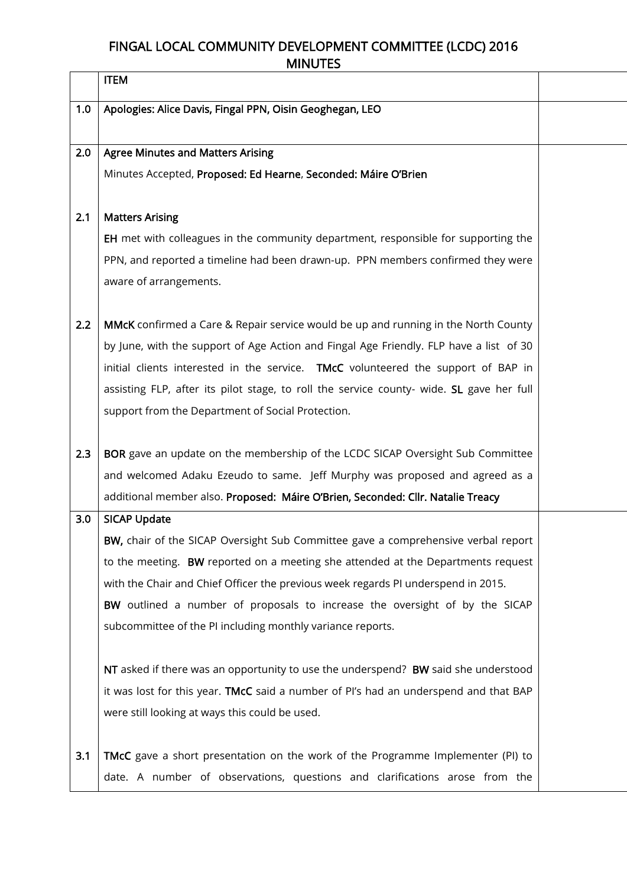|     | <b>ITEM</b>                                                                              |  |
|-----|------------------------------------------------------------------------------------------|--|
| 1.0 | Apologies: Alice Davis, Fingal PPN, Oisin Geoghegan, LEO                                 |  |
|     |                                                                                          |  |
| 2.0 | <b>Agree Minutes and Matters Arising</b>                                                 |  |
|     | Minutes Accepted, Proposed: Ed Hearne, Seconded: Máire O'Brien                           |  |
|     |                                                                                          |  |
| 2.1 | <b>Matters Arising</b>                                                                   |  |
|     | EH met with colleagues in the community department, responsible for supporting the       |  |
|     | PPN, and reported a timeline had been drawn-up. PPN members confirmed they were          |  |
|     | aware of arrangements.                                                                   |  |
|     |                                                                                          |  |
| 2.2 | MMcK confirmed a Care & Repair service would be up and running in the North County       |  |
|     | by June, with the support of Age Action and Fingal Age Friendly. FLP have a list of 30   |  |
|     | initial clients interested in the service. TMcC volunteered the support of BAP in        |  |
|     | assisting FLP, after its pilot stage, to roll the service county- wide. SL gave her full |  |
|     | support from the Department of Social Protection.                                        |  |
|     |                                                                                          |  |
| 2.3 | BOR gave an update on the membership of the LCDC SICAP Oversight Sub Committee           |  |
|     | and welcomed Adaku Ezeudo to same. Jeff Murphy was proposed and agreed as a              |  |
|     | additional member also. Proposed: Máire O'Brien, Seconded: Cllr. Natalie Treacy          |  |
| 3.0 | <b>SICAP Update</b>                                                                      |  |
|     | BW, chair of the SICAP Oversight Sub Committee gave a comprehensive verbal report        |  |
|     | to the meeting. BW reported on a meeting she attended at the Departments request         |  |
|     | with the Chair and Chief Officer the previous week regards PI underspend in 2015.        |  |
|     | BW outlined a number of proposals to increase the oversight of by the SICAP              |  |
|     | subcommittee of the PI including monthly variance reports.                               |  |
|     |                                                                                          |  |
|     | NT asked if there was an opportunity to use the underspend? BW said she understood       |  |
|     | it was lost for this year. TMcC said a number of PI's had an underspend and that BAP     |  |
|     | were still looking at ways this could be used.                                           |  |
| 3.1 | TMcC gave a short presentation on the work of the Programme Implementer (PI) to          |  |
|     | date. A number of observations, questions and clarifications arose from the              |  |
|     |                                                                                          |  |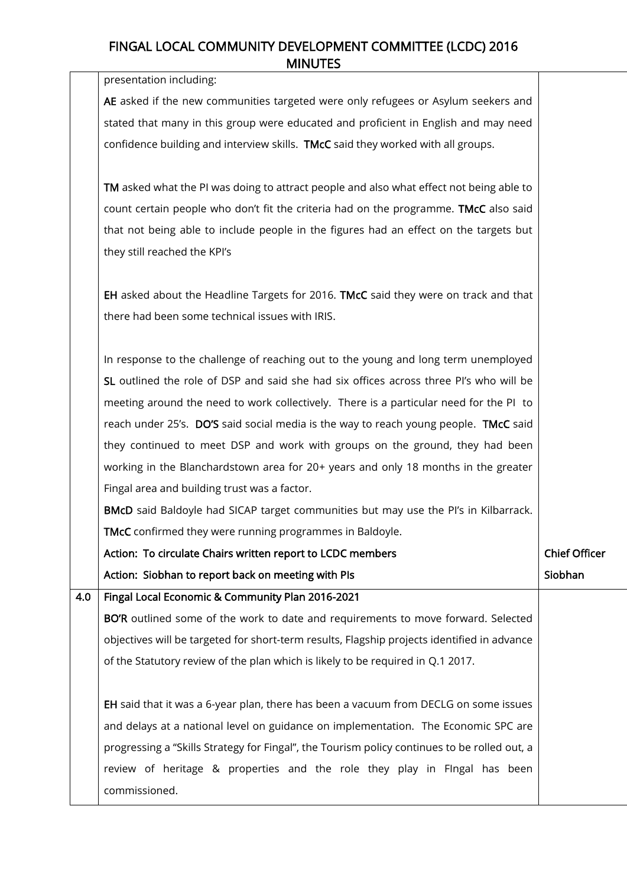presentation including:

AE asked if the new communities targeted were only refugees or Asylum seekers and stated that many in this group were educated and proficient in English and may need confidence building and interview skills. TMcC said they worked with all groups.

TM asked what the PI was doing to attract people and also what effect not being able to count certain people who don't fit the criteria had on the programme. TMcC also said that not being able to include people in the figures had an effect on the targets but they still reached the KPI's

EH asked about the Headline Targets for 2016. TMcC said they were on track and that there had been some technical issues with IRIS.

In response to the challenge of reaching out to the young and long term unemployed SL outlined the role of DSP and said she had six offices across three PI's who will be meeting around the need to work collectively. There is a particular need for the PI to reach under 25's. DO'S said social media is the way to reach young people. TMcC said they continued to meet DSP and work with groups on the ground, they had been working in the Blanchardstown area for 20+ years and only 18 months in the greater Fingal area and building trust was a factor.

BMcD said Baldoyle had SICAP target communities but may use the PI's in Kilbarrack. TMcC confirmed they were running programmes in Baldoyle.

|     | Action: To circulate Chairs written report to LCDC members                                  | <b>Chief Officer</b> |
|-----|---------------------------------------------------------------------------------------------|----------------------|
|     | Action: Siobhan to report back on meeting with PIs                                          | Siobhan              |
| 4.0 | Fingal Local Economic & Community Plan 2016-2021                                            |                      |
|     | <b>BO'R</b> outlined some of the work to date and requirements to move forward. Selected    |                      |
|     | objectives will be targeted for short-term results, Flagship projects identified in advance |                      |
|     | of the Statutory review of the plan which is likely to be required in Q.1 2017.             |                      |
|     |                                                                                             |                      |
|     |                                                                                             |                      |

EH said that it was a 6-year plan, there has been a vacuum from DECLG on some issues and delays at a national level on guidance on implementation. The Economic SPC are progressing a "Skills Strategy for Fingal", the Tourism policy continues to be rolled out, a review of heritage & properties and the role they play in FIngal has been commissioned.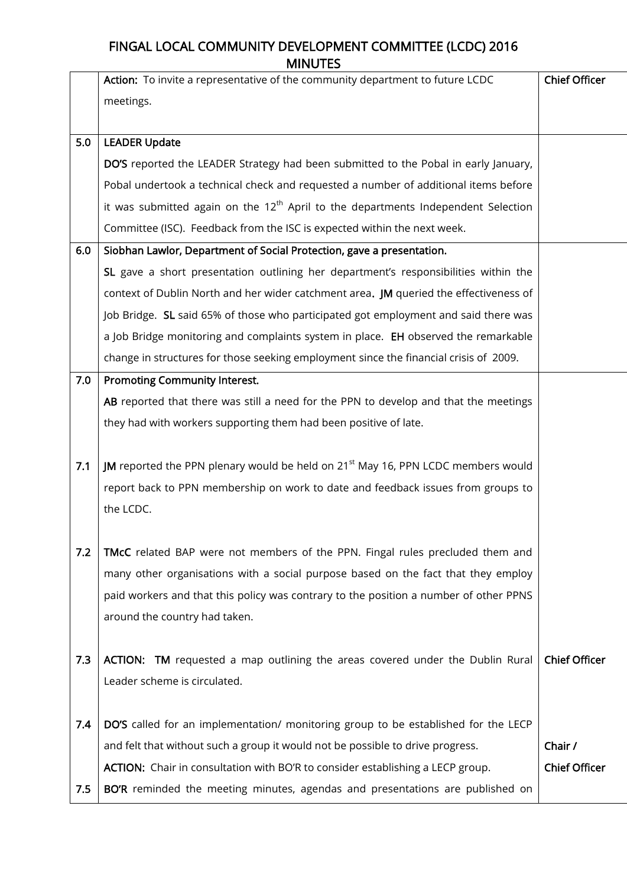|     | Action: To invite a representative of the community department to future LCDC                 | <b>Chief Officer</b> |
|-----|-----------------------------------------------------------------------------------------------|----------------------|
|     | meetings.                                                                                     |                      |
|     |                                                                                               |                      |
| 5.0 | <b>LEADER Update</b>                                                                          |                      |
|     | DO'S reported the LEADER Strategy had been submitted to the Pobal in early January,           |                      |
|     | Pobal undertook a technical check and requested a number of additional items before           |                      |
|     | it was submitted again on the 12 <sup>th</sup> April to the departments Independent Selection |                      |
|     | Committee (ISC). Feedback from the ISC is expected within the next week.                      |                      |
| 6.0 | Siobhan Lawlor, Department of Social Protection, gave a presentation.                         |                      |
|     | SL gave a short presentation outlining her department's responsibilities within the           |                      |
|     | context of Dublin North and her wider catchment area. JM queried the effectiveness of         |                      |
|     | Job Bridge. SL said 65% of those who participated got employment and said there was           |                      |
|     | a Job Bridge monitoring and complaints system in place. EH observed the remarkable            |                      |
|     | change in structures for those seeking employment since the financial crisis of 2009.         |                      |
| 7.0 | <b>Promoting Community Interest.</b>                                                          |                      |
|     | AB reported that there was still a need for the PPN to develop and that the meetings          |                      |
|     | they had with workers supporting them had been positive of late.                              |                      |
|     |                                                                                               |                      |
| 7.1 | JM reported the PPN plenary would be held on 21 <sup>st</sup> May 16, PPN LCDC members would  |                      |
|     | report back to PPN membership on work to date and feedback issues from groups to              |                      |
|     | the LCDC.                                                                                     |                      |
|     |                                                                                               |                      |
| 7.2 | TMcC related BAP were not members of the PPN. Fingal rules precluded them and                 |                      |
|     | many other organisations with a social purpose based on the fact that they employ             |                      |
|     | paid workers and that this policy was contrary to the position a number of other PPNS         |                      |
|     | around the country had taken.                                                                 |                      |
|     |                                                                                               |                      |
| 7.3 | ACTION: TM requested a map outlining the areas covered under the Dublin Rural                 | <b>Chief Officer</b> |
|     | Leader scheme is circulated.                                                                  |                      |
|     |                                                                                               |                      |
| 7.4 | DO'S called for an implementation/ monitoring group to be established for the LECP            |                      |
|     | and felt that without such a group it would not be possible to drive progress.                | Chair /              |
|     | ACTION: Chair in consultation with BO'R to consider establishing a LECP group.                | <b>Chief Officer</b> |
| 7.5 | BO'R reminded the meeting minutes, agendas and presentations are published on                 |                      |